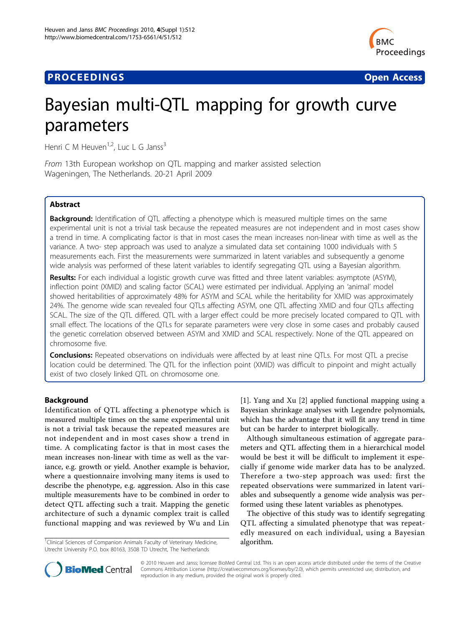# **PROCEEDINGS CONSUMING S** Open Access **CONSUMING S**



# Bayesian multi-QTL mapping for growth curve parameters

Henri C M Heuven<sup>1,2</sup>, Luc L G Janss<sup>3</sup>

From 13th European workshop on QTL mapping and marker assisted selection Wageningen, The Netherlands. 20-21 April 2009

# Abstract

**Background:** Identification of QTL affecting a phenotype which is measured multiple times on the same experimental unit is not a trivial task because the repeated measures are not independent and in most cases show a trend in time. A complicating factor is that in most cases the mean increases non-linear with time as well as the variance. A two- step approach was used to analyze a simulated data set containing 1000 individuals with 5 measurements each. First the measurements were summarized in latent variables and subsequently a genome wide analysis was performed of these latent variables to identify segregating QTL using a Bayesian algorithm.

Results: For each individual a logistic growth curve was fitted and three latent variables: asymptote (ASYM), inflection point (XMID) and scaling factor (SCAL) were estimated per individual. Applying an 'animal' model showed heritabilities of approximately 48% for ASYM and SCAL while the heritability for XMID was approximately 24%. The genome wide scan revealed four QTLs affecting ASYM, one QTL affecting XMID and four QTLs affecting SCAL. The size of the QTL differed. QTL with a larger effect could be more precisely located compared to QTL with small effect. The locations of the QTLs for separate parameters were very close in some cases and probably caused the genetic correlation observed between ASYM and XMID and SCAL respectively. None of the QTL appeared on chromosome five.

**Conclusions:** Repeated observations on individuals were affected by at least nine QTLs. For most QTL a precise location could be determined. The QTL for the inflection point (XMID) was difficult to pinpoint and might actually exist of two closely linked QTL on chromosome one.

# Background

Identification of QTL affecting a phenotype which is measured multiple times on the same experimental unit is not a trivial task because the repeated measures are not independent and in most cases show a trend in time. A complicating factor is that in most cases the mean increases non-linear with time as well as the variance, e.g. growth or yield. Another example is behavior, where a questionnaire involving many items is used to describe the phenotype, e.g. aggression. Also in this case multiple measurements have to be combined in order to detect QTL affecting such a trait. Mapping the genetic architecture of such a dynamic complex trait is called functional mapping and was reviewed by Wu and Lin

<sup>1</sup>Clinical Sciences of Companion Animals Faculty of Veterinary Medicine,  $\qquad \qquad \textbf{algorithm}.$ Utrecht University P.O. box 80163, 3508 TD Utrecht, The Netherlands

[[1\]](#page-5-0). Yang and Xu [[2\]](#page-5-0) applied functional mapping using a Bayesian shrinkage analyses with Legendre polynomials, which has the advantage that it will fit any trend in time but can be harder to interpret biologically.

Although simultaneous estimation of aggregate parameters and QTL affecting them in a hierarchical model would be best it will be difficult to implement it especially if genome wide marker data has to be analyzed. Therefore a two-step approach was used: first the repeated observations were summarized in latent variables and subsequently a genome wide analysis was performed using these latent variables as phenotypes.

The objective of this study was to identify segregating QTL affecting a simulated phenotype that was repeatedly measured on each individual, using a Bayesian



© 2010 Heuven and Janss; licensee BioMed Central Ltd. This is an open access article distributed under the terms of the Creative Commons Attribution License [\(http://creativecommons.org/licenses/by/2.0](http://creativecommons.org/licenses/by/2.0)), which permits unrestricted use, distribution, and reproduction in any medium, provided the original work is properly cited.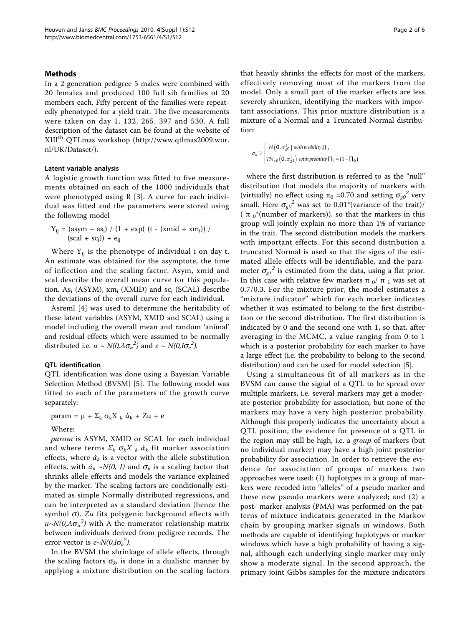#### Methods

In a 2 generation pedigree 5 males were combined with 20 females and produced 100 full sib families of 20 members each. Fifty percent of the families were repeatedly phenotyped for a yield trait. The five measurements were taken on day 1, 132, 265, 397 and 530. A full description of the dataset can be found at the website of XIIIth QTLmas workshop ([http://www.qtlmas2009.wur.](http://www.qtlmas2009.wur.nl/UK/Dataset/) [nl/UK/Dataset/](http://www.qtlmas2009.wur.nl/UK/Dataset/)).

#### Latent variable analysis

A logistic growth function was fitted to five measurements obtained on each of the 1000 individuals that were phenotyped using R [[3\]](#page-5-0). A curve for each individual was fitted and the parameters were stored using the following model

$$
Y_{ij} = (asym + as_i) / (1 + exp((t - (xmid + xm_i)) / (scal + sc_i)) + e_{ij})
$$

Where  $Y_{ij}$  is the phenotype of individual i on day t. An estimate was obtained for the asymptote, the time of inflection and the scaling factor. Asym, xmid and scal describe the overall mean curve for this population.  $As<sub>i</sub>$  (ASYM), xm<sub>i</sub> (XMID) and sc<sub>i</sub> (SCAL) describe the deviations of the overall curve for each individual.

Asreml [\[4](#page-5-0)] was used to determine the heritability of these latent variables (ASYM, XMID and SCAL) using a model including the overall mean and random 'animal' and residual effects which were assumed to be normally distributed i.e.  $u \sim N(0, A\sigma_a^2)$  and  $e \sim N(0, I\sigma_e^2)$ .

#### QTL identification

QTL identification was done using a Bayesian Variable Selection Method (BVSM) [\[5](#page-5-0)]. The following model was fitted to each of the parameters of the growth curve separately:

param =  $\mu$  +  $\Sigma_k \sigma_k X_k \dot{\alpha}_k$  + Zu + e

#### Where:

param is ASYM, XMID or SCAL for each individual and where terms  $\Sigma_k \sigma_k X_k \, \dot{\alpha}_k$  fit marker association effects, where  $\dot{a}_k$  is a vector with the allele substitution effects, with  $\dot{a}_k \sim N(0, I)$  and  $\sigma_k$  is a scaling factor that shrinks allele effects and models the variance explained by the marker. The scaling factors are conditionally estimated as simple Normally distributed regressions, and can be interpreted as a standard deviation (hence the symbol  $\sigma$ ). Zu fits polygenic background effects with  $u$ ~ $N$ (0,A $\sigma_u^{\;\;2})$  with A the numerator relationship matrix between individuals derived from pedigree records. The error vector is  $e \sim N(0, I \sigma_e^2)$ .

In the BVSM the shrinkage of allele effects, through the scaling factors  $\sigma_k$ , is done in a dualistic manner by applying a mixture distribution on the scaling factors

that heavily shrinks the effects for most of the markers, effectively removing most of the markers from the model. Only a small part of the marker effects are less severely shrunken, identifying the markers with important associations. This prior mixture distribution is a mixture of a Normal and a Truncated Normal distribution:

$$
\sigma_k \mathbb{E}\left\{\begin{aligned} &N\left(\mathcal{O},\sigma_{g\mathcal{O}}^2\right) \text{ with probability } \Pi_0 \\ &T N_{>0}\left(\mathcal{O},\sigma_{g\mathcal{I}}^2\right) \text{ with probability } \Pi_1 = \left(1-\Pi_0\right) \end{aligned}\right.
$$

where the first distribution is referred to as the "null" distribution that models the majority of markers with (virtually) no effect using  $\pi_0$  =0.70 and setting  $\sigma_{g0}^2$  very small. Here  $\sigma_{g0}^2$  was set to 0.01\*(variance of the trait)/ ( $\pi_0^*$ (number of markers)), so that the markers in this group will jointly explain no more than 1% of variance in the trait. The second distribution models the markers with important effects. For this second distribution a truncated Normal is used so that the signs of the estimated allele effects will be identifiable, and the parameter  $\sigma_{q1}^{2}$  is estimated from the data, using a flat prior. In this case with relative few markers π  $_0/$  π  $_1$  was set at 0.7/0.3. For the mixture prior, the model estimates a "mixture indicator" which for each marker indicates whether it was estimated to belong to the first distribution or the second distribution. The first distribution is indicated by 0 and the second one with 1, so that, after averaging in the MCMC, a value ranging from 0 to 1 which is a posterior probability for each marker to have a large effect (i.e. the probability to belong to the second distribution) and can be used for model selection [\[5\]](#page-5-0).

Using a simultaneous fit of all markers as in the BVSM can cause the signal of a QTL to be spread over multiple markers, i.e. several markers may get a moderate posterior probability for association, but none of the markers may have a very high posterior probability. Although this properly indicates the uncertainty about a QTL position, the evidence for presence of a QTL in the region may still be high, i.e. a group of markers (but no individual marker) may have a high joint posterior probability for association. In order to retrieve the evidence for association of groups of markers two approaches were used: (1) haplotypes in a group of markers were recoded into "alleles" of a pseudo marker and these new pseudo markers were analyzed; and (2) a post- marker-analysis (PMA) was performed on the patterns of mixture indicators generated in the Markov chain by grouping marker signals in windows. Both methods are capable of identifying haplotypes or marker windows which have a high probability of having a signal, although each underlying single marker may only show a moderate signal. In the second approach, the primary joint Gibbs samples for the mixture indicators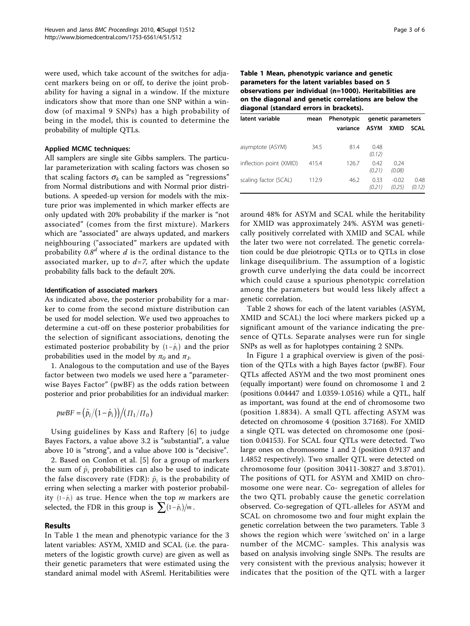were used, which take account of the switches for adjacent markers being on or off, to derive the joint probability for having a signal in a window. If the mixture indicators show that more than one SNP within a window (of maximal 9 SNPs) has a high probability of being in the model, this is counted to determine the probability of multiple QTLs.

#### Applied MCMC techniques:

All samplers are single site Gibbs samplers. The particular parameterization with scaling factors was chosen so that scaling factors  $\sigma_k$  can be sampled as "regressions" from Normal distributions and with Normal prior distributions. A speeded-up version for models with the mixture prior was implemented in which marker effects are only updated with 20% probability if the marker is "not associated" (comes from the first mixture). Markers which are "associated" are always updated, and markers neighbouring ("associated" markers are updated with probability  $0.8<sup>d</sup>$  where d is the ordinal distance to the associated marker, up to  $d=7$ , after which the update probability falls back to the default 20%.

#### Identification of associated markers

As indicated above, the posterior probability for a marker to come from the second mixture distribution can be used for model selection. We used two approaches to determine a cut-off on these posterior probabilities for the selection of significant associations, denoting the estimated posterior probability by  $(1-\hat{p}_{i})$  and the prior probabilities used in the model by  $\pi_0$  and  $\pi_1$ .

1. Analogous to the computation and use of the Bayes factor between two models we used here a "parameterwise Bayes Factor" (pwBF) as the odds ration between posterior and prior probabilities for an individual marker:

$$
pwBF = (\hat{p}_i/(1-\hat{p}_i))/(T_1/T_0)
$$

Using guidelines by Kass and Raftery [[6](#page-5-0)] to judge Bayes Factors, a value above 3.2 is "substantial", a value above 10 is "strong", and a value above 100 is "decisive".

2. Based on Conlon et al. [[5\]](#page-5-0) for a group of markers the sum of  $\hat{p}_i$  probabilities can also be used to indicate the false discovery rate (FDR):  $\hat{p}_i$  is the probability of erring when selecting a marker with posterior probability (1– $\hat{p}_i$ ) as true. Hence when the top *m* markers are selected, the FDR in this group is  $\sum (1 - \hat{p}_i)/m$ .

#### Results

In Table 1 the mean and phenotypic variance for the 3 latent variables: ASYM, XMID and SCAL (i.e. the parameters of the logistic growth curve) are given as well as their genetic parameters that were estimated using the standard animal model with ASreml. Heritabilities were Table 1 Mean, phenotypic variance and genetic parameters for the latent variables based on 5 observations per individual (n=1000). Heritabilities are on the diagonal and genetic correlations are below the diagonal (standard errors in brackets).

| latent variable         | mean  | Phenotypic | genetic parameters |                   |                |
|-------------------------|-------|------------|--------------------|-------------------|----------------|
|                         |       | variance   | ASYM               | <b>XMID</b>       | <b>SCAL</b>    |
| asymptote (ASYM)        | 34.5  | 81.4       | 0.48<br>(0.12)     |                   |                |
| inflection point (XMID) | 415.4 | 126.7      | 0.42<br>(0.21)     | 0.24<br>(0.08)    |                |
| scaling factor (SCAL)   | 112.9 | 46.2       | 0.33<br>(0.21)     | $-0.02$<br>(0.25) | 0.48<br>(0.12) |

around 48% for ASYM and SCAL while the heritability for XMID was approximately 24%. ASYM was genetically positively correlated with XMID and SCAL while the later two were not correlated. The genetic correlation could be due pleiotropic QTLs or to QTLs in close linkage disequilibrium. The assumption of a logistic growth curve underlying the data could be incorrect which could cause a spurious phenotypic correlation among the parameters but would less likely affect a genetic correlation.

Table [2](#page-3-0) shows for each of the latent variables (ASYM, XMID and SCAL) the loci where markers picked up a significant amount of the variance indicating the presence of QTLs. Separate analyses were run for single SNPs as well as for haplotypes containing 2 SNPs.

In Figure [1](#page-4-0) a graphical overview is given of the position of the QTLs with a high Bayes factor (pwBF). Four QTLs affected ASYM and the two most prominent ones (equally important) were found on chromosome 1 and 2 (positions 0.04447 and 1.0359-1.0516) while a QTL, half as important, was found at the end of chromosome two (position 1.8834). A small QTL affecting ASYM was detected on chromosome 4 (position 3.7168). For XMID a single QTL was detected on chromosome one (position 0.04153). For SCAL four QTLs were detected. Two large ones on chromosome 1 and 2 (position 0.9137 and 1.4852 respectively). Two smaller QTL were detected on chromosome four (position 30411-30827 and 3.8701). The positions of QTL for ASYM and XMID on chromosome one were near. Co- segregation of alleles for the two QTL probably cause the genetic correlation observed. Co-segregation of QTL-alleles for ASYM and SCAL on chromosome two and four might explain the genetic correlation between the two parameters. Table [3](#page-4-0) shows the region which were 'switched on' in a large number of the MCMC- samples. This analysis was based on analysis involving single SNPs. The results are very consistent with the previous analysis; however it indicates that the position of the QTL with a larger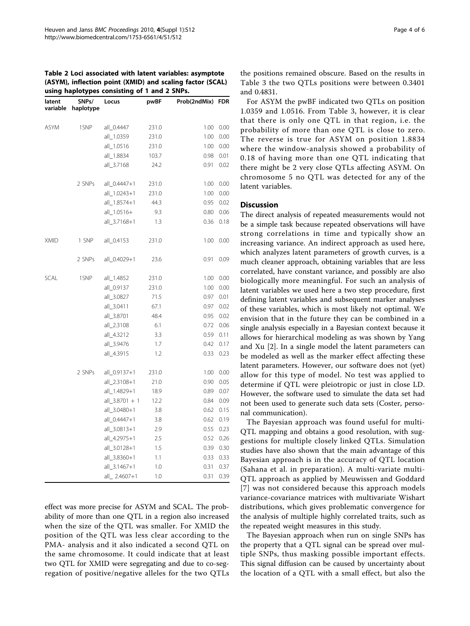#### <span id="page-3-0"></span>Table 2 Loci associated with latent variables: asymptote (ASYM), inflection point (XMID) and scaling factor (SCAL) using haplotypes consisting of 1 and 2 SNPs.

| - 2<br>-r---,r<br>SNPs/<br>latent |                    | Locus                 | pwBF    | Prob(2ndMix) FDR |             |
|-----------------------------------|--------------------|-----------------------|---------|------------------|-------------|
|                                   | variable haplotype |                       |         |                  |             |
| <b>ASYM</b>                       | 1SNP               | all_0.4447 231.0      |         | 1.00             | 0.00        |
|                                   |                    | all_1.0359 231.0      |         | 1.00             | 0.00        |
|                                   |                    | all_1.0516            | 231.0   | 1.00             | 0.00        |
|                                   |                    | all_1.8834            | 103.7   | 0.98             | 0.01        |
|                                   |                    | all 3.7168            | 24.2    | 0.91             | 0.02        |
|                                   | 2 SNPs             | all_0.4447+1 231.0    |         | 1.00             | 0.00        |
|                                   |                    | all_1.0243+1 231.0    |         | 1.00             | 0.00        |
|                                   |                    | all_1.8574+1          | 44.3    | 0.95             | 0.02        |
|                                   |                    | all_1.0516+           | 9.3     |                  | $0.80$ 0.06 |
|                                   |                    | all_3.7168+1          | 1.3     | 0.36             | 0.18        |
| <b>XMID</b>                       | 1 SNP              | all_0.4153            | 231.0   | 1.00             | 0.00        |
|                                   | 2 SNPs             | all_0.4029+1          | 23.6    | 0.91             | 0.09        |
| SCAL                              | 1SNP               | all_1.4852            | 231.0   | 1.00             | 0.00        |
|                                   |                    | all 0.9137            | 231.0   | 1.00             | 0.00        |
|                                   |                    | all_3.0827            | 71.5    | 0.97             | 0.01        |
|                                   |                    | all_3.0411            | 67.1    | 0.97             | 0.02        |
|                                   |                    | all_3.8701            | 48.4    |                  | 0.95 0.02   |
|                                   |                    | all_2.3108            | 6.1     |                  | $0.72$ 0.06 |
|                                   |                    | all_4.3212            | 3.3     | 0.59             | 0.11        |
|                                   |                    | all_3.9476            | $1.7\,$ | 0.42             | 0.17        |
|                                   |                    | all_4.3915            | 1.2     | 0.33             | 0.23        |
|                                   | 2 SNPs             | all_0.9137+1          | 231.0   |                  | 1.00 0.00   |
|                                   |                    | all_2.3108+1          | 21.0    | 0.90             | 0.05        |
|                                   |                    | all_1.4829+1 18.9     |         | 0.89             | 0.07        |
|                                   |                    | $all_3.8701 + 1$ 12.2 |         | 0.84             | 0.09        |
|                                   |                    | all_3.0480+1          | 3.8     | 0.62             | 0.15        |
|                                   |                    | all_0.4447+1          | 3.8     |                  | $0.62$ 0.19 |
|                                   |                    | all_3.0813+1          | 2.9     |                  | 0.55 0.23   |
|                                   |                    | all_4.2975+1          | 2.5     | 0.52             | 0.26        |
|                                   |                    | all_3.0128+1          | 1.5     | 0.39             | 0.30        |
|                                   |                    | all_3.8360+1          | 1.1     | 0.33             | 0.33        |
|                                   |                    | all_3.1467+1          | 1.0     | 0.31             | 0.37        |
|                                   |                    | all_2.4607+1          | 1.0     | 0.31             | 0.39        |

effect was more precise for ASYM and SCAL. The probability of more than one QTL in a region also increased when the size of the QTL was smaller. For XMID the position of the QTL was less clear according to the PMA- analysis and it also indicated a second QTL on the same chromosome. It could indicate that at least two QTL for XMID were segregating and due to co-segregation of positive/negative alleles for the two QTLs the positions remained obscure. Based on the results in Table [3](#page-4-0) the two QTLs positions were between 0.3401 and 0.4831.

For ASYM the pwBF indicated two QTLs on position 1.0359 and 1.0516. From Table [3,](#page-4-0) however, it is clear that there is only one QTL in that region, i.e. the probability of more than one QTL is close to zero. The reverse is true for ASYM on position 1.8834 where the window-analysis showed a probability of 0.18 of having more than one QTL indicating that there might be 2 very close QTLs affecting ASYM. On chromosome 5 no QTL was detected for any of the latent variables.

## **Discussion**

The direct analysis of repeated measurements would not be a simple task because repeated observations will have strong correlations in time and typically show an increasing variance. An indirect approach as used here, which analyzes latent parameters of growth curves, is a much cleaner approach, obtaining variables that are less correlated, have constant variance, and possibly are also biologically more meaningful. For such an analysis of latent variables we used here a two step procedure, first defining latent variables and subsequent marker analyses of these variables, which is most likely not optimal. We envision that in the future they can be combined in a single analysis especially in a Bayesian context because it allows for hierarchical modeling as was shown by Yang and Xu [[2\]](#page-5-0). In a single model the latent parameters can be modeled as well as the marker effect affecting these latent parameters. However, our software does not (yet) allow for this type of model. No test was applied to determine if QTL were pleiotropic or just in close LD. However, the software used to simulate the data set had not been used to generate such data sets (Coster, personal communication).

The Bayesian approach was found useful for multi-QTL mapping and obtains a good resolution, with suggestions for multiple closely linked QTLs. Simulation studies have also shown that the main advantage of this Bayesian approach is in the accuracy of QTL location (Sahana et al. in preparation). A multi-variate multi-QTL approach as applied by Meuwissen and Goddard [[7](#page-5-0)] was not considered because this approach models variance-covariance matrices with multivariate Wishart distributions, which gives problematic convergence for the analysis of multiple highly correlated traits, such as the repeated weight measures in this study.

The Bayesian approach when run on single SNPs has the property that a QTL signal can be spread over multiple SNPs, thus masking possible important effects. This signal diffusion can be caused by uncertainty about the location of a QTL with a small effect, but also the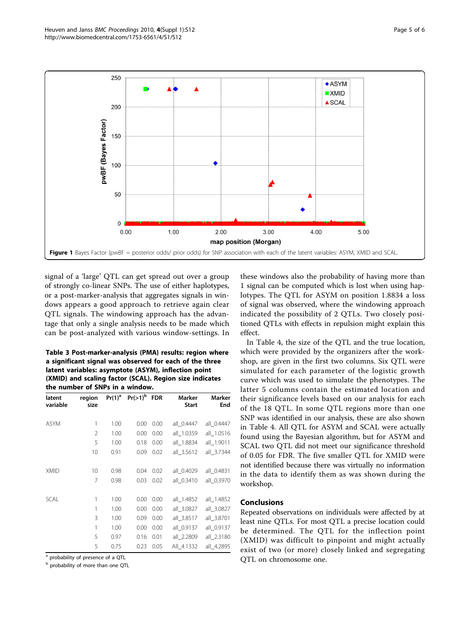<span id="page-4-0"></span>

signal of a 'large' QTL can get spread out over a group of strongly co-linear SNPs. The use of either haplotypes, or a post-marker-analysis that aggregates signals in windows appears a good approach to retrieve again clear QTL signals. The windowing approach has the advantage that only a single analysis needs to be made which can be post-analyzed with various window-settings. In

Table 3 Post-marker-analysis (PMA) results: region where a significant signal was observed for each of the three latent variables: asymptote (ASYM), inflection point (XMID) and scaling factor (SCAL). Region size indicates the number of SNPs in a window.

| latent<br>variable | region<br>size | $Pr(1)^a$ | $Pr(>1)^b$ | <b>FDR</b> | Marker<br><b>Start</b> | <b>Marker</b><br>End |
|--------------------|----------------|-----------|------------|------------|------------------------|----------------------|
| <b>ASYM</b>        | 1              | 1.00      | 0.00       | 0.00       | all 0.4447             | all 0.4447           |
|                    | $\overline{2}$ | 1.00      | 0.00       | 0.00       | all_1.0359             | all_1.0516           |
|                    | 5              | 1.00      | 0.18       | 0.00       | all 1.8834             | all_1.9011           |
|                    | 10             | 0.91      | 0.09       | 0.02       | all 3.5612             | all 3.7344           |
| <b>XMID</b>        | 10             | 0.98      | 0.04       | 0.02       | all 0.4029             | all 0.4831           |
|                    | 7              | 0.98      | 0.03       | 0.02       | all 0.3410             | all_0.3970           |
| <b>SCAL</b>        | 1              | 1.00      | 0.00       | 0.00       | all_1.4852             | all_1.4852           |
|                    | 1              | 1.00      | 0.00       | 0.00       | all 3.0827             | all 3.0827           |
|                    | 3              | 1.00      | 0.09       | 0.00       | all_3.8517             | all_3.8701           |
|                    | 1              | 1.00      | 0.00       | 0.00       | all_0.9137             | all_0.9137           |
|                    | 5              | 0.97      | 0.16       | 0.01       | all_2.2809             | all_2.3180           |
|                    | 5              | 0.75      | 0.23       | 0.05       | All 4.1332             | all_4.2895           |

<sup>a</sup> probability of presence of a QTL

<sup>b</sup> probability of more than one QTL

these windows also the probability of having more than 1 signal can be computed which is lost when using haplotypes. The QTL for ASYM on position 1.8834 a loss of signal was observed, where the windowing approach indicated the possibility of 2 QTLs. Two closely positioned QTLs with effects in repulsion might explain this effect.

In Table [4](#page-5-0), the size of the QTL and the true location, which were provided by the organizers after the workshop, are given in the first two columns. Six QTL were simulated for each parameter of the logistic growth curve which was used to simulate the phenotypes. The latter 5 columns contain the estimated location and their significance levels based on our analysis for each of the 18 QTL. In some QTL regions more than one SNP was identified in our analysis, these are also shown in Table [4.](#page-5-0) All QTL for ASYM and SCAL were actually found using the Bayesian algorithm, but for ASYM and SCAL two QTL did not meet our significance threshold of 0.05 for FDR. The five smaller QTL for XMID were not identified because there was virtually no information in the data to identify them as was shown during the workshop.

### Conclusions

Repeated observations on individuals were affected by at least nine QTLs. For most QTL a precise location could be determined. The QTL for the inflection point (XMID) was difficult to pinpoint and might actually exist of two (or more) closely linked and segregating QTL on chromosome one.